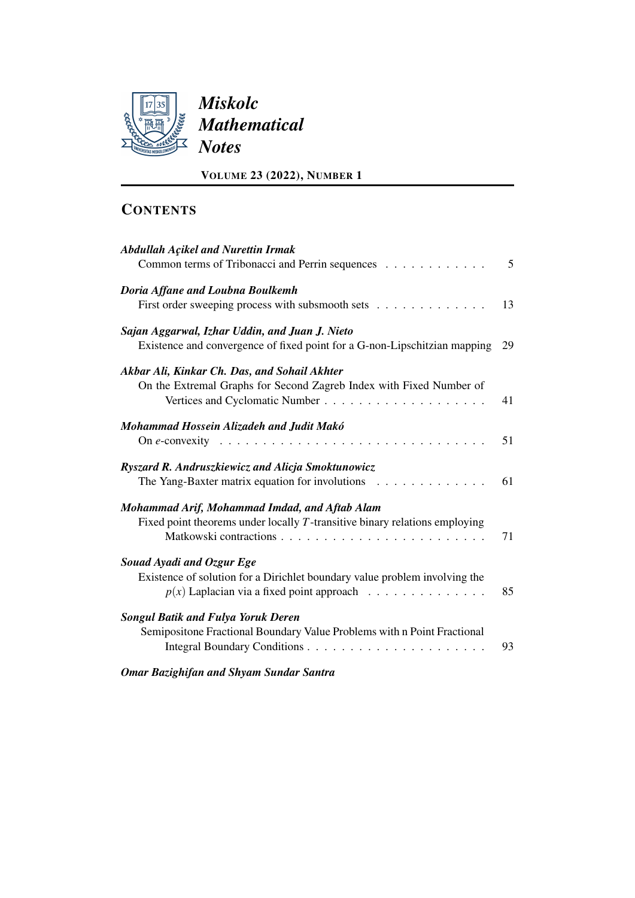

| <b>Abdullah Açikel and Nurettin Irmak</b><br>Common terms of Tribonacci and Perrin sequences                                              | 5  |
|-------------------------------------------------------------------------------------------------------------------------------------------|----|
| Doria Affane and Loubna Boulkemh<br>First order sweeping process with subsmooth sets                                                      | 13 |
| Sajan Aggarwal, Izhar Uddin, and Juan J. Nieto<br>Existence and convergence of fixed point for a G-non-Lipschitzian mapping               | 29 |
| Akbar Ali, Kinkar Ch. Das, and Sohail Akhter<br>On the Extremal Graphs for Second Zagreb Index with Fixed Number of                       | 41 |
| Mohammad Hossein Alizadeh and Judit Makó<br>On e-convexity $\ldots \ldots \ldots \ldots \ldots \ldots \ldots \ldots \ldots \ldots \ldots$ | 51 |
| Ryszard R. Andruszkiewicz and Alicja Smoktunowicz<br>The Yang-Baxter matrix equation for involutions<br>.                                 | 61 |
| Mohammad Arif, Mohammad Imdad, and Aftab Alam<br>Fixed point theorems under locally $T$ -transitive binary relations employing            | 71 |
| Souad Ayadi and Ozgur Ege<br>Existence of solution for a Dirichlet boundary value problem involving the                                   | 85 |
| <b>Songul Batik and Fulya Yoruk Deren</b><br>Semipositone Fractional Boundary Value Problems with n Point Fractional                      | 93 |
| <b>Omar Bazighifan and Shyam Sundar Santra</b>                                                                                            |    |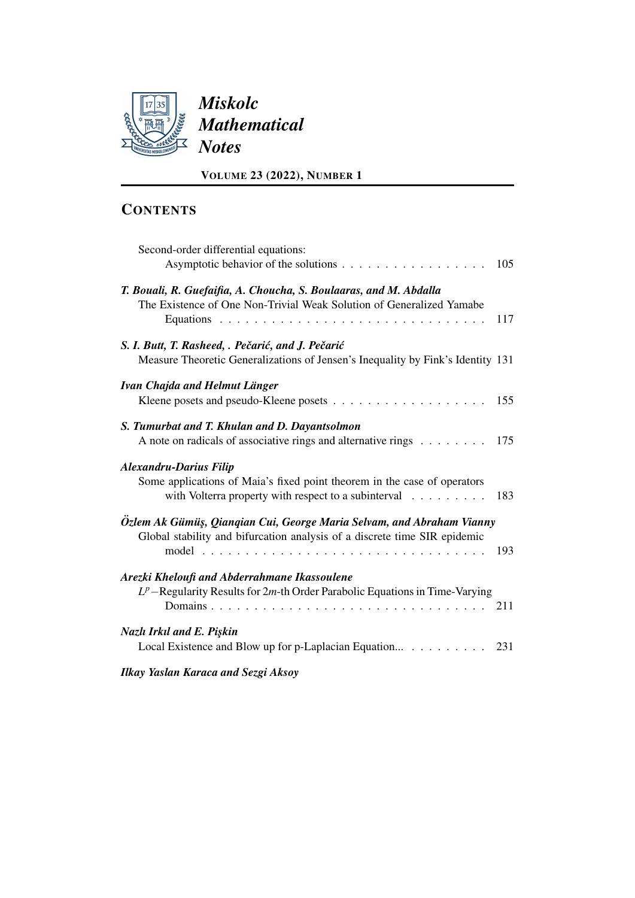

| Second-order differential equations:                                                                                                                              | 105 |
|-------------------------------------------------------------------------------------------------------------------------------------------------------------------|-----|
| T. Bouali, R. Guefaifia, A. Choucha, S. Boulaaras, and M. Abdalla<br>The Existence of One Non-Trivial Weak Solution of Generalized Yamabe                         | 117 |
| S. I. Butt, T. Rasheed, . Pečarić, and J. Pečarić<br>Measure Theoretic Generalizations of Jensen's Inequality by Fink's Identity 131                              |     |
| Ivan Chajda and Helmut Länger                                                                                                                                     |     |
| S. Tumurbat and T. Khulan and D. Dayantsolmon<br>A note on radicals of associative rings and alternative rings $\dots \dots \dots \dots$ 175                      |     |
| <b>Alexandru-Darius Filip</b><br>Some applications of Maia's fixed point theorem in the case of operators<br>with Volterra property with respect to a subinterval | 183 |
| Özlem Ak Gümüş, Qiangian Cui, George Maria Selvam, and Abraham Vianny<br>Global stability and bifurcation analysis of a discrete time SIR epidemic                |     |
| Arezki Kheloufi and Abderrahmane Ikassoulene<br>$L^p$ – Regularity Results for 2m-th Order Parabolic Equations in Time-Varying                                    |     |
| Nazlı Irkıl and E. Pişkin<br>Local Existence and Blow up for p-Laplacian Equation 231                                                                             |     |
| <b>Ilkay Yaslan Karaca and Sezgi Aksoy</b>                                                                                                                        |     |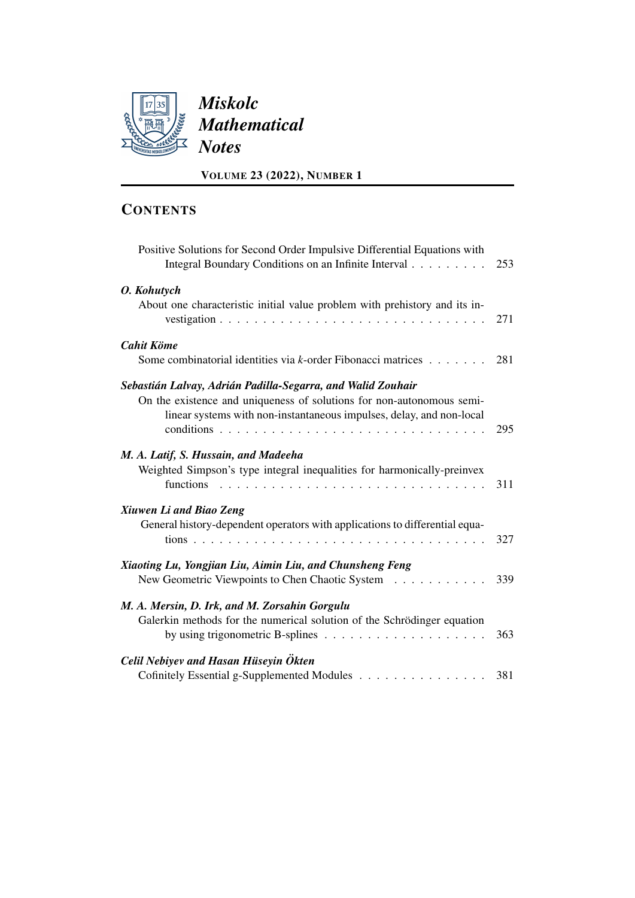

| Positive Solutions for Second Order Impulsive Differential Equations with<br>Integral Boundary Conditions on an Infinite Interval                                                                            | 253 |
|--------------------------------------------------------------------------------------------------------------------------------------------------------------------------------------------------------------|-----|
| O. Kohutych<br>About one characteristic initial value problem with prehistory and its in-                                                                                                                    | 271 |
| <b>Cahit Köme</b><br>Some combinatorial identities via k-order Fibonacci matrices                                                                                                                            | 281 |
| Sebastián Lalvay, Adrián Padilla-Segarra, and Walid Zouhair<br>On the existence and uniqueness of solutions for non-autonomous semi-<br>linear systems with non-instantaneous impulses, delay, and non-local | 295 |
| M. A. Latif, S. Hussain, and Madeeha<br>Weighted Simpson's type integral inequalities for harmonically-preinvex<br>functions                                                                                 | 311 |
| Xiuwen Li and Biao Zeng<br>General history-dependent operators with applications to differential equa-                                                                                                       | 327 |
| Xiaoting Lu, Yongjian Liu, Aimin Liu, and Chunsheng Feng<br>New Geometric Viewpoints to Chen Chaotic System                                                                                                  | 339 |
| M. A. Mersin, D. Irk, and M. Zorsahin Gorgulu<br>Galerkin methods for the numerical solution of the Schrödinger equation<br>by using trigonometric B-splines $\ldots \ldots \ldots \ldots \ldots \ldots$     | 363 |
| Celil Nebiyev and Hasan Hüseyin Ökten<br>Cofinitely Essential g-Supplemented Modules                                                                                                                         | 381 |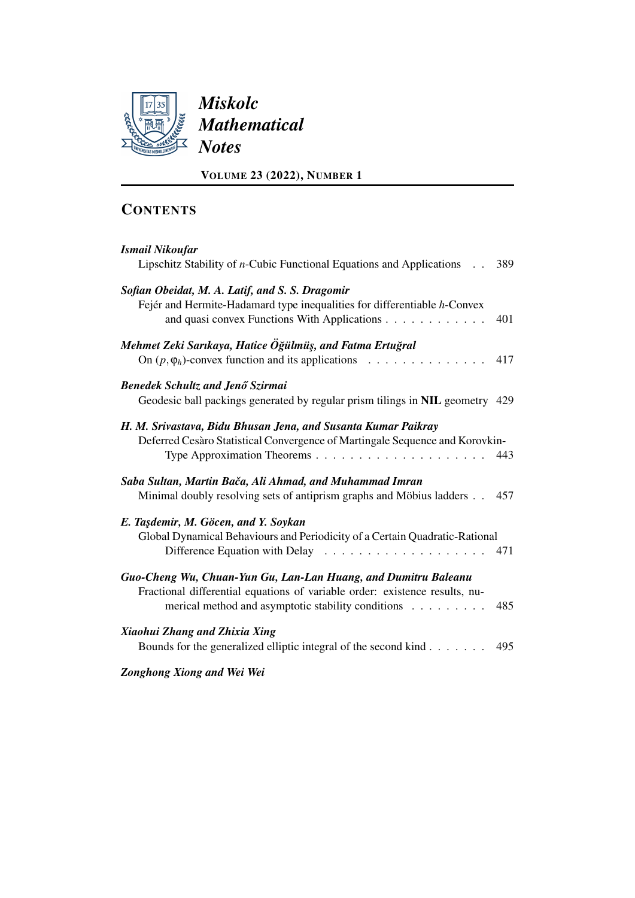

| <b>Ismail Nikoufar</b>                                                             |     |
|------------------------------------------------------------------------------------|-----|
| Lipschitz Stability of <i>n</i> -Cubic Functional Equations and Applications . 389 |     |
| Sofian Obeidat, M. A. Latif, and S. S. Dragomir                                    |     |
| Fejér and Hermite-Hadamard type inequalities for differentiable h-Convex           |     |
| and quasi convex Functions With Applications                                       | 401 |
| Mehmet Zeki Sarıkaya, Hatice Öğülmüş, and Fatma Ertuğral                           |     |
| On $(p, \varphi_h)$ -convex function and its applications                          | 417 |
| <b>Benedek Schultz and Jenő Szirmai</b>                                            |     |
| Geodesic ball packings generated by regular prism tilings in NIL geometry 429      |     |
| H. M. Srivastava, Bidu Bhusan Jena, and Susanta Kumar Paikray                      |     |
| Deferred Cesàro Statistical Convergence of Martingale Sequence and Korovkin-       |     |
|                                                                                    | 443 |
| Saba Sultan, Martin Bača, Ali Ahmad, and Muhammad Imran                            |     |
| Minimal doubly resolving sets of antiprism graphs and Möbius ladders 457           |     |
| E. Taşdemir, M. Göcen, and Y. Soykan                                               |     |
| Global Dynamical Behaviours and Periodicity of a Certain Quadratic-Rational        |     |
|                                                                                    | 471 |
| Guo-Cheng Wu, Chuan-Yun Gu, Lan-Lan Huang, and Dumitru Baleanu                     |     |
| Fractional differential equations of variable order: existence results, nu-        |     |
| merical method and asymptotic stability conditions                                 | 485 |
| Xiaohui Zhang and Zhixia Xing                                                      |     |
| Bounds for the generalized elliptic integral of the second kind 495                |     |
| Zonghong Xiong and Wei Wei                                                         |     |